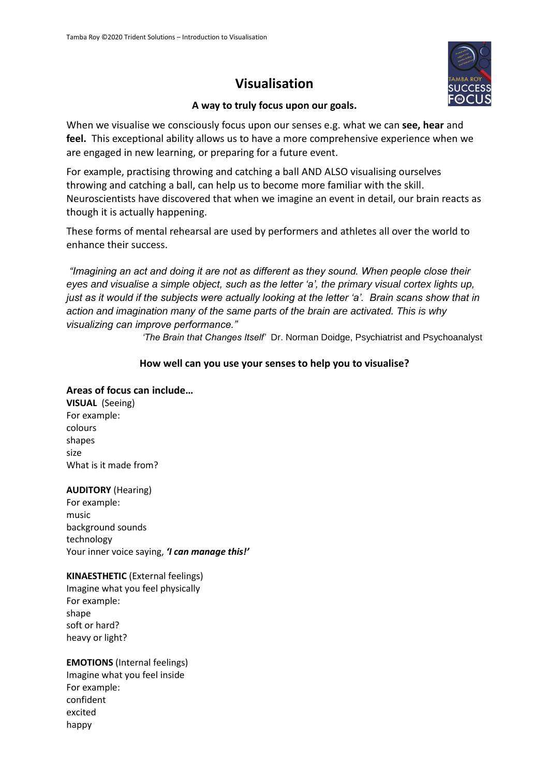# **Visualisation**



### **A way to truly focus upon our goals.**

When we visualise we consciously focus upon our senses e.g. what we can **see, hear** and **feel.** This exceptional ability allows us to have a more comprehensive experience when we are engaged in new learning, or preparing for a future event.

For example, practising throwing and catching a ball AND ALSO visualising ourselves throwing and catching a ball, can help us to become more familiar with the skill. Neuroscientists have discovered that when we imagine an event in detail, our brain reacts as though it is actually happening.

These forms of mental rehearsal are used by performers and athletes all over the world to enhance their success.

*"Imagining an act and doing it are not as different as they sound. When people close their eyes and visualise a simple object, such as the letter 'a', the primary visual cortex lights up, just as it would if the subjects were actually looking at the letter 'a'. Brain scans show that in action and imagination many of the same parts of the brain are activated. This is why visualizing can improve performance."* 

*'The Brain that Changes Itself'* Dr. Norman Doidge, Psychiatrist and Psychoanalyst

### **How well can you use your senses to help you to visualise?**

#### **Areas of focus can include…**

**VISUAL** (Seeing) For example: colours shapes size What is it made from?

#### **AUDITORY** (Hearing)

For example: music background sounds technology Your inner voice saying, *'I can manage this!'*

#### **KINAESTHETIC** (External feelings)

Imagine what you feel physically For example: shape soft or hard? heavy or light?

#### **EMOTIONS** (Internal feelings) Imagine what you feel inside For example: confident excited happy